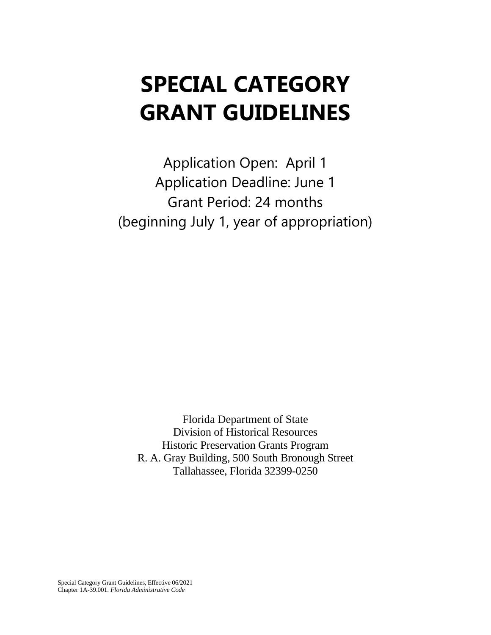# **SPECIAL CATEGORY GRANT GUIDELINES**

Application Open: April 1 Application Deadline: June 1 Grant Period: 24 months (beginning July 1, year of appropriation)

Florida Department of State Division of Historical Resources Historic Preservation Grants Program R. A. Gray Building, 500 South Bronough Street Tallahassee, Florida 32399-0250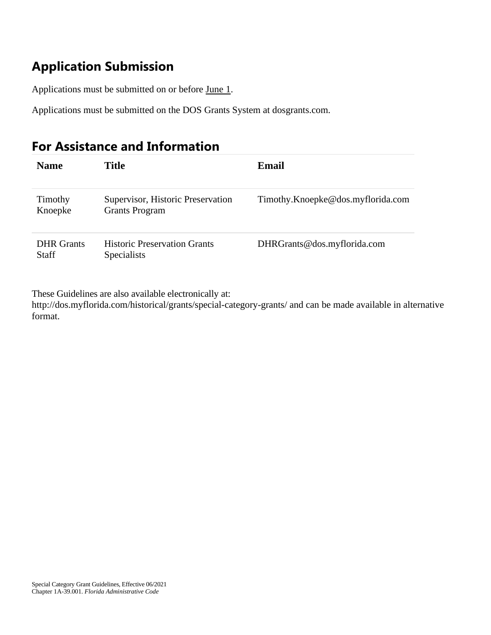# **Application Submission**

Applications must be submitted on or before June 1.

Applications must be submitted on the DOS Grants System at dosgrants.com.

# **For Assistance and Information**

| <b>Name</b>                       | Title                                                      | Email                             |
|-----------------------------------|------------------------------------------------------------|-----------------------------------|
| Timothy<br>Knoepke                | Supervisor, Historic Preservation<br><b>Grants Program</b> | Timothy.Knoepke@dos.myflorida.com |
| <b>DHR</b> Grants<br><b>Staff</b> | <b>Historic Preservation Grants</b><br><b>Specialists</b>  | DHRGrants@dos.myflorida.com       |

These Guidelines are also available electronically at:

http://dos.myflorida.com/historical/grants/special-category-grants/ and can be made available in alternative format.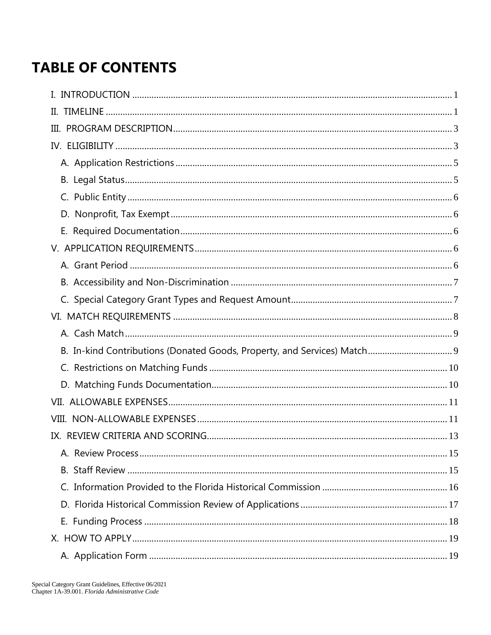# **TABLE OF CONTENTS**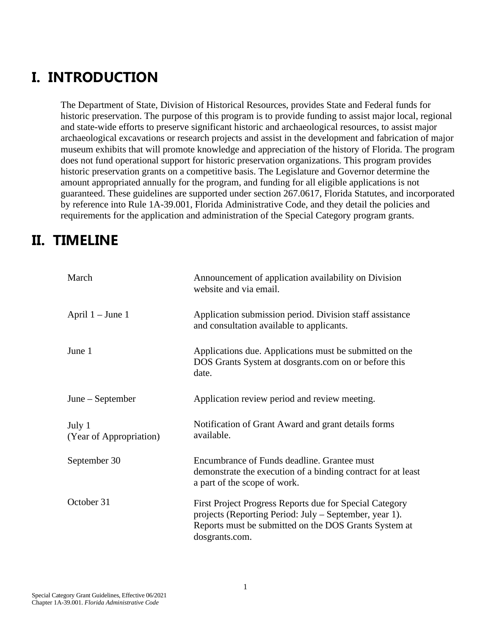# <span id="page-4-0"></span>**I. INTRODUCTION**

The Department of State, Division of Historical Resources, provides State and Federal funds for historic preservation. The purpose of this program is to provide funding to assist major local, regional and state-wide efforts to preserve significant historic and archaeological resources, to assist major archaeological excavations or research projects and assist in the development and fabrication of major museum exhibits that will promote knowledge and appreciation of the history of Florida. The program does not fund operational support for historic preservation organizations. This program provides historic preservation grants on a competitive basis. The Legislature and Governor determine the amount appropriated annually for the program, and funding for all eligible applications is not guaranteed. These guidelines are supported under section 267.0617, Florida Statutes, and incorporated by reference into Rule 1A-39.001, Florida Administrative Code, and they detail the policies and requirements for the application and administration of the Special Category program grants.

# <span id="page-4-1"></span>**II. TIMELINE**

| March                             | Announcement of application availability on Division<br>website and via email.                                                                                                               |
|-----------------------------------|----------------------------------------------------------------------------------------------------------------------------------------------------------------------------------------------|
| April $1 -$ June 1                | Application submission period. Division staff assistance<br>and consultation available to applicants.                                                                                        |
| June 1                            | Applications due. Applications must be submitted on the<br>DOS Grants System at dosgrants.com on or before this<br>date.                                                                     |
| $June - September$                | Application review period and review meeting.                                                                                                                                                |
| July 1<br>(Year of Appropriation) | Notification of Grant Award and grant details forms<br>available.                                                                                                                            |
| September 30                      | Encumbrance of Funds deadline. Grantee must<br>demonstrate the execution of a binding contract for at least<br>a part of the scope of work.                                                  |
| October 31                        | First Project Progress Reports due for Special Category<br>projects (Reporting Period: July – September, year 1).<br>Reports must be submitted on the DOS Grants System at<br>dosgrants.com. |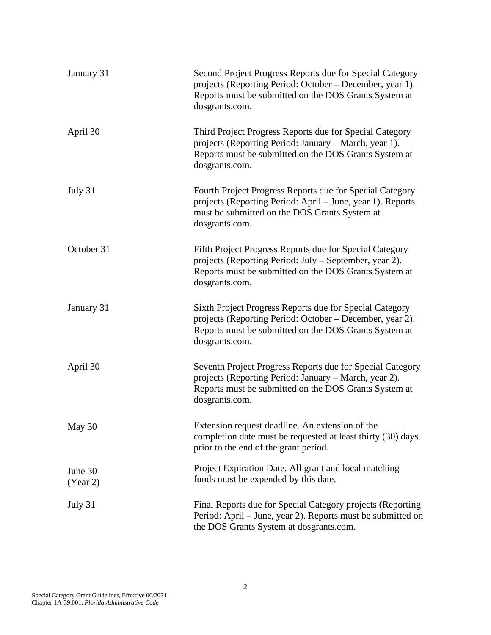| January 31          | Second Project Progress Reports due for Special Category<br>projects (Reporting Period: October - December, year 1).<br>Reports must be submitted on the DOS Grants System at<br>dosgrants.com. |
|---------------------|-------------------------------------------------------------------------------------------------------------------------------------------------------------------------------------------------|
| April 30            | Third Project Progress Reports due for Special Category<br>projects (Reporting Period: January – March, year 1).<br>Reports must be submitted on the DOS Grants System at<br>dosgrants.com.     |
| July 31             | Fourth Project Progress Reports due for Special Category<br>projects (Reporting Period: April – June, year 1). Reports<br>must be submitted on the DOS Grants System at<br>dosgrants.com.       |
| October 31          | Fifth Project Progress Reports due for Special Category<br>projects (Reporting Period: July – September, year 2).<br>Reports must be submitted on the DOS Grants System at<br>dosgrants.com.    |
| January 31          | Sixth Project Progress Reports due for Special Category<br>projects (Reporting Period: October – December, year 2).<br>Reports must be submitted on the DOS Grants System at<br>dosgrants.com.  |
| April 30            | Seventh Project Progress Reports due for Special Category<br>projects (Reporting Period: January – March, year 2).<br>Reports must be submitted on the DOS Grants System at<br>dosgrants.com.   |
| May 30              | Extension request deadline. An extension of the<br>completion date must be requested at least thirty (30) days<br>prior to the end of the grant period.                                         |
| June 30<br>(Year 2) | Project Expiration Date. All grant and local matching<br>funds must be expended by this date.                                                                                                   |
| July 31             | Final Reports due for Special Category projects (Reporting<br>Period: April - June, year 2). Reports must be submitted on<br>the DOS Grants System at dosgrants.com.                            |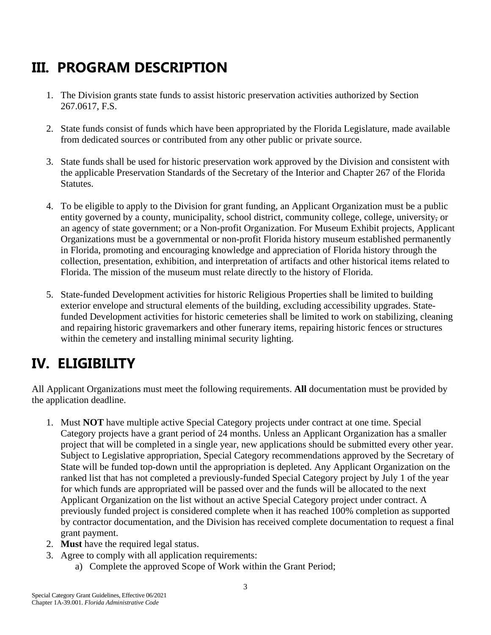# <span id="page-6-0"></span>**III. PROGRAM DESCRIPTION**

- 1. The Division grants state funds to assist historic preservation activities authorized by Section 267.0617, F.S.
- 2. State funds consist of funds which have been appropriated by the Florida Legislature, made available from dedicated sources or contributed from any other public or private source.
- 3. State funds shall be used for historic preservation work approved by the Division and consistent with the applicable Preservation Standards of the Secretary of the Interior and Chapter 267 of the Florida Statutes.
- 4. To be eligible to apply to the Division for grant funding, an Applicant Organization must be a public entity governed by a county, municipality, school district, community college, college, university, or an agency of state government; or a Non-profit Organization. For Museum Exhibit projects, Applicant Organizations must be a governmental or non-profit Florida history museum established permanently in Florida, promoting and encouraging knowledge and appreciation of Florida history through the collection, presentation, exhibition, and interpretation of artifacts and other historical items related to Florida. The mission of the museum must relate directly to the history of Florida.
- 5. State-funded Development activities for historic Religious Properties shall be limited to building exterior envelope and structural elements of the building, excluding accessibility upgrades. Statefunded Development activities for historic cemeteries shall be limited to work on stabilizing, cleaning and repairing historic gravemarkers and other funerary items, repairing historic fences or structures within the cemetery and installing minimal security lighting.

# <span id="page-6-1"></span>**IV. ELIGIBILITY**

All Applicant Organizations must meet the following requirements. **All** documentation must be provided by the application deadline.

- 1. Must **NOT** have multiple active Special Category projects under contract at one time. Special Category projects have a grant period of 24 months. Unless an Applicant Organization has a smaller project that will be completed in a single year, new applications should be submitted every other year. Subject to Legislative appropriation, Special Category recommendations approved by the Secretary of State will be funded top-down until the appropriation is depleted. Any Applicant Organization on the ranked list that has not completed a previously-funded Special Category project by July 1 of the year for which funds are appropriated will be passed over and the funds will be allocated to the next Applicant Organization on the list without an active Special Category project under contract. A previously funded project is considered complete when it has reached 100% completion as supported by contractor documentation, and the Division has received complete documentation to request a final grant payment.
- 2. **Must** have the required legal status.
- 3. Agree to comply with all application requirements:
	- a) Complete the approved Scope of Work within the Grant Period;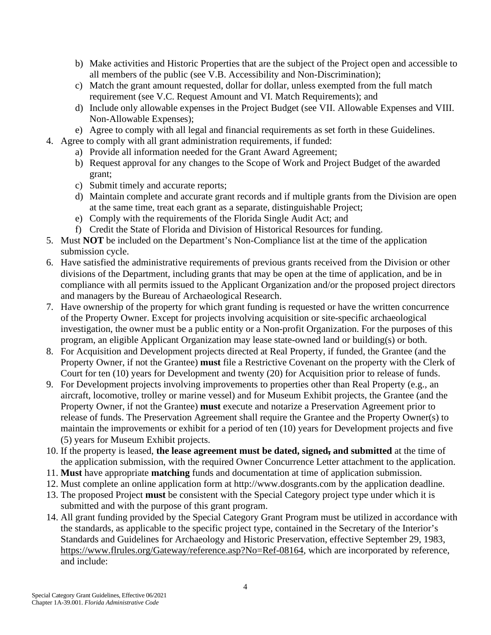- b) Make activities and Historic Properties that are the subject of the Project open and accessible to all members of the public (see V.B. Accessibility and Non-Discrimination);
- c) Match the grant amount requested, dollar for dollar, unless exempted from the full match requirement (see V.C. Request Amount and VI. Match Requirements); and
- d) Include only allowable expenses in the Project Budget (see VII. Allowable Expenses and VIII. Non-Allowable Expenses);
- e) Agree to comply with all legal and financial requirements as set forth in these Guidelines.
- 4. Agree to comply with all grant administration requirements, if funded:
	- a) Provide all information needed for the Grant Award Agreement;
	- b) Request approval for any changes to the Scope of Work and Project Budget of the awarded grant;
	- c) Submit timely and accurate reports;
	- d) Maintain complete and accurate grant records and if multiple grants from the Division are open at the same time, treat each grant as a separate, distinguishable Project;
	- e) Comply with the requirements of the Florida Single Audit Act; and
	- f) Credit the State of Florida and Division of Historical Resources for funding.
- 5. Must **NOT** be included on the Department's Non-Compliance list at the time of the application submission cycle.
- 6. Have satisfied the administrative requirements of previous grants received from the Division or other divisions of the Department, including grants that may be open at the time of application, and be in compliance with all permits issued to the Applicant Organization and/or the proposed project directors and managers by the Bureau of Archaeological Research.
- 7. Have ownership of the property for which grant funding is requested or have the written concurrence of the Property Owner. Except for projects involving acquisition or site-specific archaeological investigation, the owner must be a public entity or a Non-profit Organization. For the purposes of this program, an eligible Applicant Organization may lease state-owned land or building(s) or both.
- 8. For Acquisition and Development projects directed at Real Property, if funded, the Grantee (and the Property Owner, if not the Grantee) **must** file a Restrictive Covenant on the property with the Clerk of Court for ten (10) years for Development and twenty (20) for Acquisition prior to release of funds.
- 9. For Development projects involving improvements to properties other than Real Property (e.g., an aircraft, locomotive, trolley or marine vessel) and for Museum Exhibit projects, the Grantee (and the Property Owner, if not the Grantee) **must** execute and notarize a Preservation Agreement prior to release of funds. The Preservation Agreement shall require the Grantee and the Property Owner(s) to maintain the improvements or exhibit for a period of ten (10) years for Development projects and five (5) years for Museum Exhibit projects.
- 10. If the property is leased, **the lease agreement must be dated, signed, and submitted** at the time of the application submission, with the required Owner Concurrence Letter attachment to the application.
- 11. **Must** have appropriate **matching** funds and documentation at time of application submission.
- 12. Must complete an online application form at http://www.dosgrants.com by the application deadline.
- 13. The proposed Project **must** be consistent with the Special Category project type under which it is submitted and with the purpose of this grant program.
- 14. All grant funding provided by the Special Category Grant Program must be utilized in accordance with the standards, as applicable to the specific project type, contained in the Secretary of the Interior's Standards and Guidelines for Archaeology and Historic Preservation, effective September 29, 1983, [https://www.flrules.org/Gateway/reference.asp?No=Ref-08164,](https://www.flrules.org/Gateway/reference.asp?No=Ref-08164) which are incorporated by reference, and include: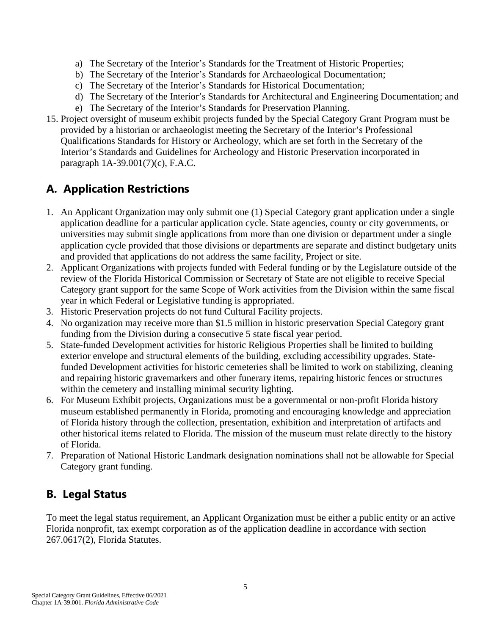- a) The Secretary of the Interior's Standards for the Treatment of Historic Properties;
- b) The Secretary of the Interior's Standards for Archaeological Documentation;
- c) The Secretary of the Interior's Standards for Historical Documentation;
- d) The Secretary of the Interior's Standards for Architectural and Engineering Documentation; and
- e) The Secretary of the Interior's Standards for Preservation Planning.
- 15. Project oversight of museum exhibit projects funded by the Special Category Grant Program must be provided by a historian or archaeologist meeting the Secretary of the Interior's Professional Qualifications Standards for History or Archeology, which are set forth in the Secretary of the Interior's Standards and Guidelines for Archeology and Historic Preservation incorporated in paragraph 1A-39.001(7)(c), F.A.C.

# <span id="page-8-0"></span>**A. Application Restrictions**

- 1. An Applicant Organization may only submit one (1) Special Category grant application under a single application deadline for a particular application cycle. State agencies, county or city governments, or universities may submit single applications from more than one division or department under a single application cycle provided that those divisions or departments are separate and distinct budgetary units and provided that applications do not address the same facility, Project or site.
- 2. Applicant Organizations with projects funded with Federal funding or by the Legislature outside of the review of the Florida Historical Commission or Secretary of State are not eligible to receive Special Category grant support for the same Scope of Work activities from the Division within the same fiscal year in which Federal or Legislative funding is appropriated.
- 3. Historic Preservation projects do not fund Cultural Facility projects.
- 4. No organization may receive more than \$1.5 million in historic preservation Special Category grant funding from the Division during a consecutive 5 state fiscal year period.
- 5. State-funded Development activities for historic Religious Properties shall be limited to building exterior envelope and structural elements of the building, excluding accessibility upgrades. Statefunded Development activities for historic cemeteries shall be limited to work on stabilizing, cleaning and repairing historic gravemarkers and other funerary items, repairing historic fences or structures within the cemetery and installing minimal security lighting.
- 6. For Museum Exhibit projects, Organizations must be a governmental or non-profit Florida history museum established permanently in Florida, promoting and encouraging knowledge and appreciation of Florida history through the collection, presentation, exhibition and interpretation of artifacts and other historical items related to Florida. The mission of the museum must relate directly to the history of Florida.
- 7. Preparation of National Historic Landmark designation nominations shall not be allowable for Special Category grant funding.

# <span id="page-8-1"></span>**B. Legal Status**

To meet the legal status requirement, an Applicant Organization must be either a public entity or an active Florida nonprofit, tax exempt corporation as of the application deadline in accordance with section 267.0617(2), Florida Statutes.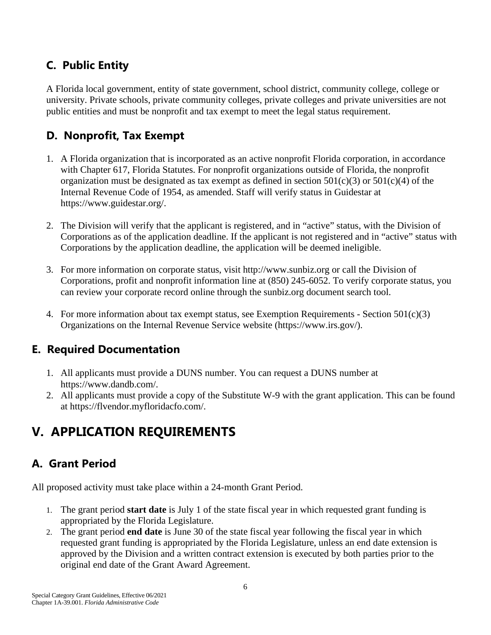# <span id="page-9-0"></span>**C. Public Entity**

A Florida local government, entity of state government, school district, community college, college or university. Private schools, private community colleges, private colleges and private universities are not public entities and must be nonprofit and tax exempt to meet the legal status requirement.

## <span id="page-9-1"></span>**D. Nonprofit, Tax Exempt**

- 1. A Florida organization that is incorporated as an active nonprofit Florida corporation, in accordance with Chapter 617, Florida Statutes. For nonprofit organizations outside of Florida, the nonprofit organization must be designated as tax exempt as defined in section  $501(c)(3)$  or  $501(c)(4)$  of the Internal Revenue Code of 1954, as amended. Staff will verify status in Guidestar at https://www.guidestar.org/.
- 2. The Division will verify that the applicant is registered, and in "active" status, with the Division of Corporations as of the application deadline. If the applicant is not registered and in "active" status with Corporations by the application deadline, the application will be deemed ineligible.
- 3. For more information on corporate status, visit http://www.sunbiz.org or call the Division of Corporations, profit and nonprofit information line at (850) 245-6052. To verify corporate status, you can review your corporate record online through the sunbiz.org document search tool.
- 4. For more information about tax exempt status, see Exemption Requirements Section  $501(c)(3)$ Organizations on the Internal Revenue Service website (https://www.irs.gov/).

### <span id="page-9-2"></span>**E. Required Documentation**

- 1. All applicants must provide a DUNS number. You can request a DUNS number at https://www.dandb.com/.
- 2. All applicants must provide a copy of the Substitute W-9 with the grant application. This can be found at https://flvendor.myfloridacfo.com/.

# <span id="page-9-3"></span>**V. APPLICATION REQUIREMENTS**

# <span id="page-9-4"></span>**A. Grant Period**

All proposed activity must take place within a 24-month Grant Period.

- 1. The grant period **start date** is July 1 of the state fiscal year in which requested grant funding is appropriated by the Florida Legislature.
- 2. The grant period **end date** is June 30 of the state fiscal year following the fiscal year in which requested grant funding is appropriated by the Florida Legislature, unless an end date extension is approved by the Division and a written contract extension is executed by both parties prior to the original end date of the Grant Award Agreement.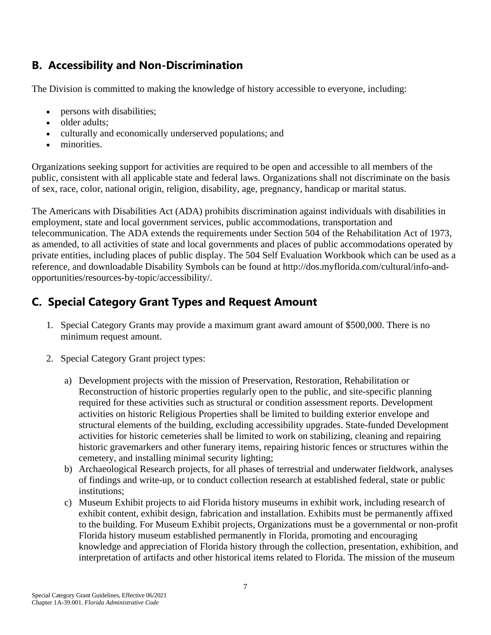# <span id="page-10-0"></span>**B. Accessibility and Non-Discrimination**

The Division is committed to making the knowledge of history accessible to everyone, including:

- persons with disabilities;
- older adults:
- culturally and economically underserved populations; and
- minorities.

Organizations seeking support for activities are required to be open and accessible to all members of the public, consistent with all applicable state and federal laws. Organizations shall not discriminate on the basis of sex, race, color, national origin, religion, disability, age, pregnancy, handicap or marital status.

The Americans with Disabilities Act (ADA) prohibits discrimination against individuals with disabilities in employment, state and local government services, public accommodations, transportation and telecommunication. The ADA extends the requirements under Section 504 of the Rehabilitation Act of 1973, as amended, to all activities of state and local governments and places of public accommodations operated by private entities, including places of public display. The 504 Self Evaluation Workbook which can be used as a reference, and downloadable Disability Symbols can be found at http://dos.myflorida.com/cultural/info-andopportunities/resources-by-topic/accessibility/.

# <span id="page-10-1"></span>**C. Special Category Grant Types and Request Amount**

- 1. Special Category Grants may provide a maximum grant award amount of \$500,000. There is no minimum request amount.
- 2. Special Category Grant project types:
	- a) Development projects with the mission of Preservation, Restoration, Rehabilitation or Reconstruction of historic properties regularly open to the public, and site-specific planning required for these activities such as structural or condition assessment reports. Development activities on historic Religious Properties shall be limited to building exterior envelope and structural elements of the building, excluding accessibility upgrades. State-funded Development activities for historic cemeteries shall be limited to work on stabilizing, cleaning and repairing historic gravemarkers and other funerary items, repairing historic fences or structures within the cemetery, and installing minimal security lighting;
	- b) Archaeological Research projects, for all phases of terrestrial and underwater fieldwork, analyses of findings and write-up, or to conduct collection research at established federal, state or public institutions;
	- c) Museum Exhibit projects to aid Florida history museums in exhibit work, including research of exhibit content, exhibit design, fabrication and installation. Exhibits must be permanently affixed to the building. For Museum Exhibit projects, Organizations must be a governmental or non-profit Florida history museum established permanently in Florida, promoting and encouraging knowledge and appreciation of Florida history through the collection, presentation, exhibition, and interpretation of artifacts and other historical items related to Florida. The mission of the museum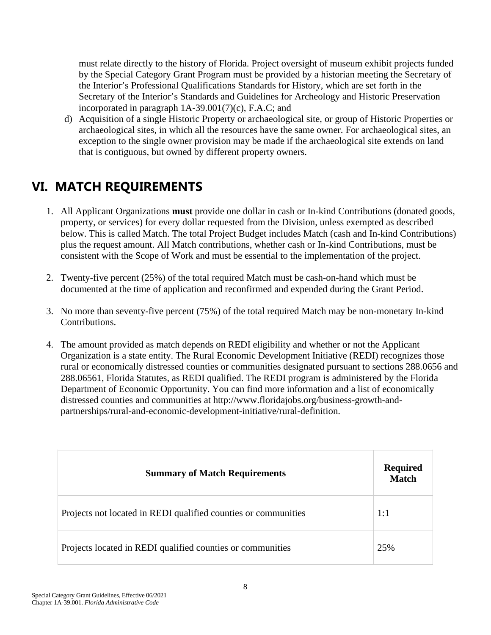must relate directly to the history of Florida. Project oversight of museum exhibit projects funded by the Special Category Grant Program must be provided by a historian meeting the Secretary of the Interior's Professional Qualifications Standards for History, which are set forth in the Secretary of the Interior's Standards and Guidelines for Archeology and Historic Preservation incorporated in paragraph 1A-39.001(7)(c), F.A.C; and

d) Acquisition of a single Historic Property or archaeological site, or group of Historic Properties or archaeological sites, in which all the resources have the same owner. For archaeological sites, an exception to the single owner provision may be made if the archaeological site extends on land that is contiguous, but owned by different property owners.

# <span id="page-11-0"></span>**VI. MATCH REQUIREMENTS**

- 1. All Applicant Organizations **must** provide one dollar in cash or In-kind Contributions (donated goods, property, or services) for every dollar requested from the Division, unless exempted as described below. This is called Match. The total Project Budget includes Match (cash and In-kind Contributions) plus the request amount. All Match contributions, whether cash or In-kind Contributions, must be consistent with the Scope of Work and must be essential to the implementation of the project.
- 2. Twenty-five percent (25%) of the total required Match must be cash-on-hand which must be documented at the time of application and reconfirmed and expended during the Grant Period.
- 3. No more than seventy-five percent (75%) of the total required Match may be non-monetary In-kind Contributions.
- 4. The amount provided as match depends on REDI eligibility and whether or not the Applicant Organization is a state entity. The Rural Economic Development Initiative (REDI) recognizes those rural or economically distressed counties or communities designated pursuant to sections 288.0656 and 288.06561, Florida Statutes, as REDI qualified. The REDI program is administered by the Florida Department of Economic Opportunity. You can find more information and a list of economically distressed counties and communities at http://www.floridajobs.org/business-growth-andpartnerships/rural-and-economic-development-initiative/rural-definition.

| <b>Summary of Match Requirements</b>                           | <b>Required</b><br><b>Match</b> |
|----------------------------------------------------------------|---------------------------------|
| Projects not located in REDI qualified counties or communities | 1:1                             |
| Projects located in REDI qualified counties or communities     | 25%                             |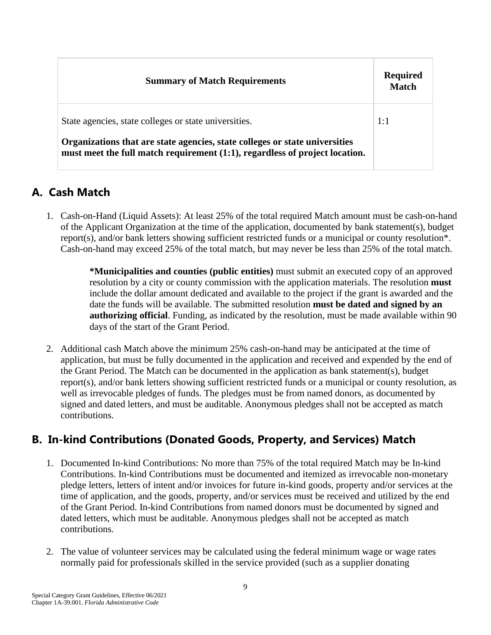| <b>Summary of Match Requirements</b>                                                                                                                       | <b>Required</b><br><b>Match</b> |
|------------------------------------------------------------------------------------------------------------------------------------------------------------|---------------------------------|
| State agencies, state colleges or state universities.                                                                                                      | 1:1                             |
| Organizations that are state agencies, state colleges or state universities<br>must meet the full match requirement (1:1), regardless of project location. |                                 |

### <span id="page-12-0"></span>**A. Cash Match**

1. Cash-on-Hand (Liquid Assets): At least 25% of the total required Match amount must be cash-on-hand of the Applicant Organization at the time of the application, documented by bank statement(s), budget report(s), and/or bank letters showing sufficient restricted funds or a municipal or county resolution\*. Cash-on-hand may exceed 25% of the total match, but may never be less than 25% of the total match.

> **\*Municipalities and counties (public entities)** must submit an executed copy of an approved resolution by a city or county commission with the application materials. The resolution **must** include the dollar amount dedicated and available to the project if the grant is awarded and the date the funds will be available. The submitted resolution **must be dated and signed by an authorizing official**. Funding, as indicated by the resolution, must be made available within 90 days of the start of the Grant Period.

<span id="page-12-1"></span>2. Additional cash Match above the minimum 25% cash-on-hand may be anticipated at the time of application, but must be fully documented in the application and received and expended by the end of the Grant Period. The Match can be documented in the application as bank statement(s), budget report(s), and/or bank letters showing sufficient restricted funds or a municipal or county resolution, as well as irrevocable pledges of funds. The pledges must be from named donors, as documented by signed and dated letters, and must be auditable. Anonymous pledges shall not be accepted as match contributions.

# **B. In-kind Contributions (Donated Goods, Property, and Services) Match**

- 1. Documented In-kind Contributions: No more than 75% of the total required Match may be In-kind Contributions. In-kind Contributions must be documented and itemized as irrevocable non-monetary pledge letters, letters of intent and/or invoices for future in-kind goods, property and/or services at the time of application, and the goods, property, and/or services must be received and utilized by the end of the Grant Period. In-kind Contributions from named donors must be documented by signed and dated letters, which must be auditable. Anonymous pledges shall not be accepted as match contributions.
- 2. The value of volunteer services may be calculated using the federal minimum wage or wage rates normally paid for professionals skilled in the service provided (such as a supplier donating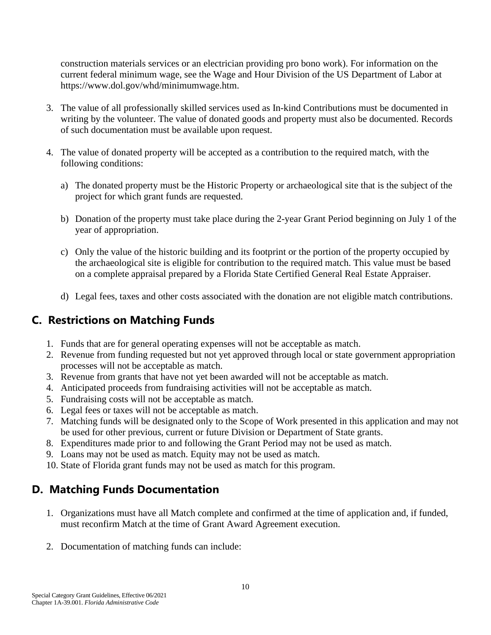construction materials services or an electrician providing pro bono work). For information on the current federal minimum wage, see the Wage and Hour Division of the US Department of Labor at https://www.dol.gov/whd/minimumwage.htm.

- 3. The value of all professionally skilled services used as In-kind Contributions must be documented in writing by the volunteer. The value of donated goods and property must also be documented. Records of such documentation must be available upon request.
- 4. The value of donated property will be accepted as a contribution to the required match, with the following conditions:
	- a) The donated property must be the Historic Property or archaeological site that is the subject of the project for which grant funds are requested.
	- b) Donation of the property must take place during the 2-year Grant Period beginning on July 1 of the year of appropriation.
	- c) Only the value of the historic building and its footprint or the portion of the property occupied by the archaeological site is eligible for contribution to the required match. This value must be based on a complete appraisal prepared by a Florida State Certified General Real Estate Appraiser.
	- d) Legal fees, taxes and other costs associated with the donation are not eligible match contributions.

### <span id="page-13-0"></span>**C. Restrictions on Matching Funds**

- 1. Funds that are for general operating expenses will not be acceptable as match.
- 2. Revenue from funding requested but not yet approved through local or state government appropriation processes will not be acceptable as match.
- 3. Revenue from grants that have not yet been awarded will not be acceptable as match.
- 4. Anticipated proceeds from fundraising activities will not be acceptable as match.
- 5. Fundraising costs will not be acceptable as match.
- 6. Legal fees or taxes will not be acceptable as match.
- 7. Matching funds will be designated only to the Scope of Work presented in this application and may not be used for other previous, current or future Division or Department of State grants.
- 8. Expenditures made prior to and following the Grant Period may not be used as match.
- 9. Loans may not be used as match. Equity may not be used as match.
- 10. State of Florida grant funds may not be used as match for this program.

### <span id="page-13-1"></span>**D. Matching Funds Documentation**

- 1. Organizations must have all Match complete and confirmed at the time of application and, if funded, must reconfirm Match at the time of Grant Award Agreement execution.
- 2. Documentation of matching funds can include: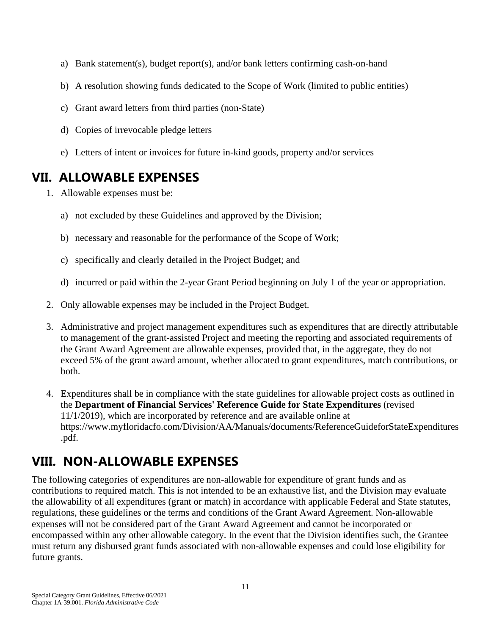- a) Bank statement(s), budget report(s), and/or bank letters confirming cash-on-hand
- b) A resolution showing funds dedicated to the Scope of Work (limited to public entities)
- c) Grant award letters from third parties (non-State)
- d) Copies of irrevocable pledge letters
- e) Letters of intent or invoices for future in-kind goods, property and/or services

# <span id="page-14-0"></span>**VII. ALLOWABLE EXPENSES**

- 1. Allowable expenses must be:
	- a) not excluded by these Guidelines and approved by the Division;
	- b) necessary and reasonable for the performance of the Scope of Work;
	- c) specifically and clearly detailed in the Project Budget; and
	- d) incurred or paid within the 2-year Grant Period beginning on July 1 of the year or appropriation.
- 2. Only allowable expenses may be included in the Project Budget.
- 3. Administrative and project management expenditures such as expenditures that are directly attributable to management of the grant-assisted Project and meeting the reporting and associated requirements of the Grant Award Agreement are allowable expenses, provided that, in the aggregate, they do not exceed 5% of the grant award amount, whether allocated to grant expenditures, match contributions, or both.
- 4. Expenditures shall be in compliance with the state guidelines for allowable project costs as outlined in the **Department of Financial Services' Reference Guide for State Expenditures** (revised 11/1/2019), which are incorporated by reference and are available online at https://www.myfloridacfo.com/Division/AA/Manuals/documents/ReferenceGuideforStateExpenditures .pdf.

# <span id="page-14-1"></span>**VIII. NON-ALLOWABLE EXPENSES**

The following categories of expenditures are non-allowable for expenditure of grant funds and as contributions to required match. This is not intended to be an exhaustive list, and the Division may evaluate the allowability of all expenditures (grant or match) in accordance with applicable Federal and State statutes, regulations, these guidelines or the terms and conditions of the Grant Award Agreement. Non-allowable expenses will not be considered part of the Grant Award Agreement and cannot be incorporated or encompassed within any other allowable category. In the event that the Division identifies such, the Grantee must return any disbursed grant funds associated with non-allowable expenses and could lose eligibility for future grants.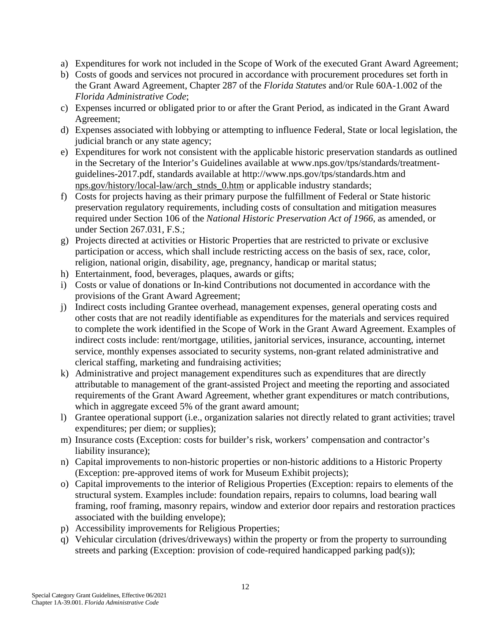- a) Expenditures for work not included in the Scope of Work of the executed Grant Award Agreement;
- b) Costs of goods and services not procured in accordance with procurement procedures set forth in the Grant Award Agreement, Chapter 287 of the *Florida Statutes* and/or Rule 60A-1.002 of the *Florida Administrative Code*;
- c) Expenses incurred or obligated prior to or after the Grant Period, as indicated in the Grant Award Agreement;
- d) Expenses associated with lobbying or attempting to influence Federal, State or local legislation, the judicial branch or any state agency;
- e) Expenditures for work not consistent with the applicable historic preservation standards as outlined in the Secretary of the Interior's Guidelines available at www.nps.gov/tps/standards/treatmentguidelines-2017.pdf, standards available at http://www.nps.gov/tps/standards.htm and nps.gov/history/local-law/arch\_stnds\_0.htm or applicable industry standards;
- f) Costs for projects having as their primary purpose the fulfillment of Federal or State historic preservation regulatory requirements, including costs of consultation and mitigation measures required under Section 106 of the *National Historic Preservation Act of 1966*, as amended, or under Section 267.031, F.S.;
- g) Projects directed at activities or Historic Properties that are restricted to private or exclusive participation or access, which shall include restricting access on the basis of sex, race, color, religion, national origin, disability, age, pregnancy, handicap or marital status;
- h) Entertainment, food, beverages, plaques, awards or gifts;
- i) Costs or value of donations or In-kind Contributions not documented in accordance with the provisions of the Grant Award Agreement;
- j) Indirect costs including Grantee overhead, management expenses, general operating costs and other costs that are not readily identifiable as expenditures for the materials and services required to complete the work identified in the Scope of Work in the Grant Award Agreement. Examples of indirect costs include: rent/mortgage, utilities, janitorial services, insurance, accounting, internet service, monthly expenses associated to security systems, non-grant related administrative and clerical staffing, marketing and fundraising activities;
- k) Administrative and project management expenditures such as expenditures that are directly attributable to management of the grant-assisted Project and meeting the reporting and associated requirements of the Grant Award Agreement, whether grant expenditures or match contributions, which in aggregate exceed 5% of the grant award amount;
- l) Grantee operational support (i.e., organization salaries not directly related to grant activities; travel expenditures; per diem; or supplies);
- m) Insurance costs (Exception: costs for builder's risk, workers' compensation and contractor's liability insurance);
- n) Capital improvements to non-historic properties or non-historic additions to a Historic Property (Exception: pre-approved items of work for Museum Exhibit projects);
- o) Capital improvements to the interior of Religious Properties (Exception: repairs to elements of the structural system. Examples include: foundation repairs, repairs to columns, load bearing wall framing, roof framing, masonry repairs, window and exterior door repairs and restoration practices associated with the building envelope);
- p) Accessibility improvements for Religious Properties;
- q) Vehicular circulation (drives/driveways) within the property or from the property to surrounding streets and parking (Exception: provision of code-required handicapped parking pad(s));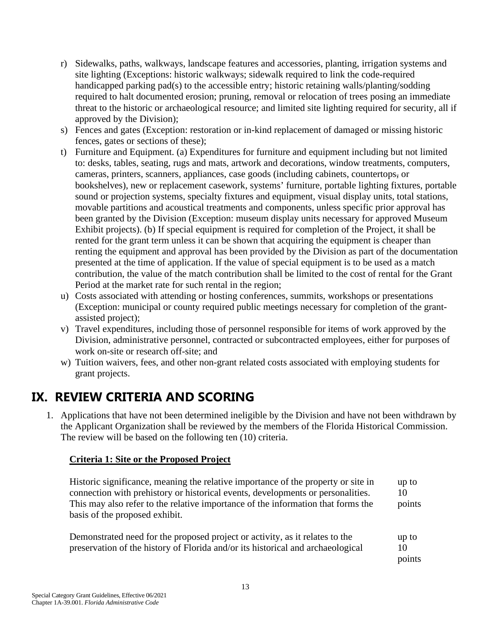- r) Sidewalks, paths, walkways, landscape features and accessories, planting, irrigation systems and site lighting (Exceptions: historic walkways; sidewalk required to link the code-required handicapped parking pad(s) to the accessible entry; historic retaining walls/planting/sodding required to halt documented erosion; pruning, removal or relocation of trees posing an immediate threat to the historic or archaeological resource; and limited site lighting required for security, all if approved by the Division);
- s) Fences and gates (Exception: restoration or in-kind replacement of damaged or missing historic fences, gates or sections of these);
- t) Furniture and Equipment. (a) Expenditures for furniture and equipment including but not limited to: desks, tables, seating, rugs and mats, artwork and decorations, window treatments, computers, cameras, printers, scanners, appliances, case goods (including cabinets, countertops, or bookshelves), new or replacement casework, systems' furniture, portable lighting fixtures, portable sound or projection systems, specialty fixtures and equipment, visual display units, total stations, movable partitions and acoustical treatments and components, unless specific prior approval has been granted by the Division (Exception: museum display units necessary for approved Museum Exhibit projects). (b) If special equipment is required for completion of the Project, it shall be rented for the grant term unless it can be shown that acquiring the equipment is cheaper than renting the equipment and approval has been provided by the Division as part of the documentation presented at the time of application. If the value of special equipment is to be used as a match contribution, the value of the match contribution shall be limited to the cost of rental for the Grant Period at the market rate for such rental in the region;
- u) Costs associated with attending or hosting conferences, summits, workshops or presentations (Exception: municipal or county required public meetings necessary for completion of the grantassisted project);
- v) Travel expenditures, including those of personnel responsible for items of work approved by the Division, administrative personnel, contracted or subcontracted employees, either for purposes of work on-site or research off-site; and
- w) Tuition waivers, fees, and other non-grant related costs associated with employing students for grant projects.

# <span id="page-16-0"></span>**IX. REVIEW CRITERIA AND SCORING**

1. Applications that have not been determined ineligible by the Division and have not been withdrawn by the Applicant Organization shall be reviewed by the members of the Florida Historical Commission. The review will be based on the following ten (10) criteria.

#### **Criteria 1: Site or the Proposed Project**

Historic significance, meaning the relative importance of the property or site in connection with prehistory or historical events, developments or personalities. This may also refer to the relative importance of the information that forms the basis of the proposed exhibit. up to 10 points

| Demonstrated need for the proposed project or activity, as it relates to the    | up to  |
|---------------------------------------------------------------------------------|--------|
| preservation of the history of Florida and/or its historical and archaeological | 10     |
|                                                                                 | points |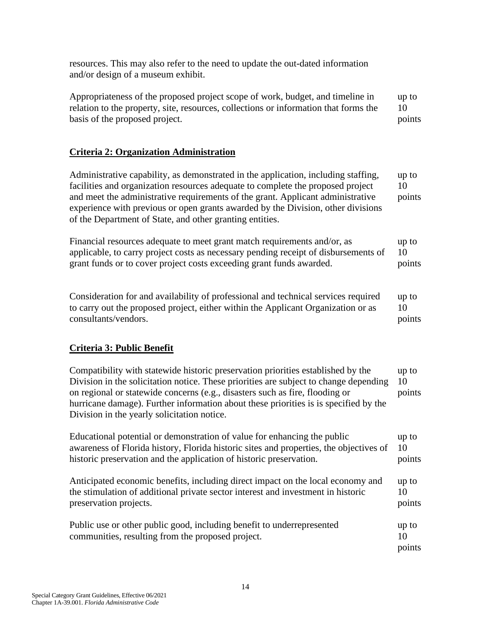resources. This may also refer to the need to update the out-dated information and/or design of a museum exhibit.

Appropriateness of the proposed project scope of work, budget, and timeline in relation to the property, site, resources, collections or information that forms the basis of the proposed project. up to 10 points

#### **Criteria 2: Organization Administration**

Administrative capability, as demonstrated in the application, including staffing, facilities and organization resources adequate to complete the proposed project and meet the administrative requirements of the grant. Applicant administrative experience with previous or open grants awarded by the Division, other divisions of the Department of State, and other granting entities. up to 10 points

Financial resources adequate to meet grant match requirements and/or, as applicable, to carry project costs as necessary pending receipt of disbursements of grant funds or to cover project costs exceeding grant funds awarded. up to 10 points

Consideration for and availability of professional and technical services required to carry out the proposed project, either within the Applicant Organization or as consultants/vendors. up to 10 points

#### **Criteria 3: Public Benefit**

Compatibility with statewide historic preservation priorities established by the Division in the solicitation notice. These priorities are subject to change depending on regional or statewide concerns (e.g., disasters such as fire, flooding or hurricane damage). Further information about these priorities is is specified by the Division in the yearly solicitation notice. up to 10 points Educational potential or demonstration of value for enhancing the public up to

awareness of Florida history, Florida historic sites and properties, the objectives of historic preservation and the application of historic preservation. 10 points Anticipated economic benefits, including direct impact on the local economy and the stimulation of additional private sector interest and investment in historic up to 10

Public use or other public good, including benefit to underrepresented communities, resulting from the proposed project. up to 10

points

points

preservation projects.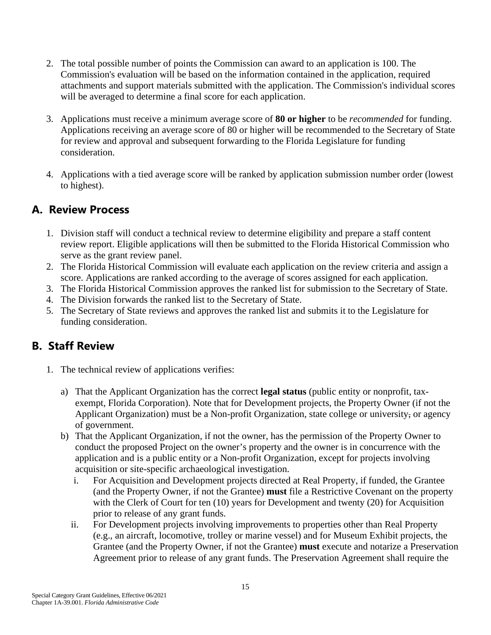- 2. The total possible number of points the Commission can award to an application is 100. The Commission's evaluation will be based on the information contained in the application, required attachments and support materials submitted with the application. The Commission's individual scores will be averaged to determine a final score for each application.
- 3. Applications must receive a minimum average score of **80 or higher** to be *recommended* for funding. Applications receiving an average score of 80 or higher will be recommended to the Secretary of State for review and approval and subsequent forwarding to the Florida Legislature for funding consideration.
- 4. Applications with a tied average score will be ranked by application submission number order (lowest to highest).

### <span id="page-18-0"></span>**A. Review Process**

- 1. Division staff will conduct a technical review to determine eligibility and prepare a staff content review report. Eligible applications will then be submitted to the Florida Historical Commission who serve as the grant review panel.
- 2. The Florida Historical Commission will evaluate each application on the review criteria and assign a score. Applications are ranked according to the average of scores assigned for each application.
- 3. The Florida Historical Commission approves the ranked list for submission to the Secretary of State.
- 4. The Division forwards the ranked list to the Secretary of State.
- 5. The Secretary of State reviews and approves the ranked list and submits it to the Legislature for funding consideration.

### <span id="page-18-1"></span>**B. Staff Review**

- 1. The technical review of applications verifies:
	- a) That the Applicant Organization has the correct **legal status** (public entity or nonprofit, taxexempt, Florida Corporation). Note that for Development projects, the Property Owner (if not the Applicant Organization) must be a Non-profit Organization, state college or university, or agency of government.
	- b) That the Applicant Organization, if not the owner, has the permission of the Property Owner to conduct the proposed Project on the owner's property and the owner is in concurrence with the application and is a public entity or a Non-profit Organization, except for projects involving acquisition or site-specific archaeological investigation.
		- i. For Acquisition and Development projects directed at Real Property, if funded, the Grantee (and the Property Owner, if not the Grantee) **must** file a Restrictive Covenant on the property with the Clerk of Court for ten (10) years for Development and twenty (20) for Acquisition prior to release of any grant funds.
		- ii. For Development projects involving improvements to properties other than Real Property (e.g., an aircraft, locomotive, trolley or marine vessel) and for Museum Exhibit projects, the Grantee (and the Property Owner, if not the Grantee) **must** execute and notarize a Preservation Agreement prior to release of any grant funds. The Preservation Agreement shall require the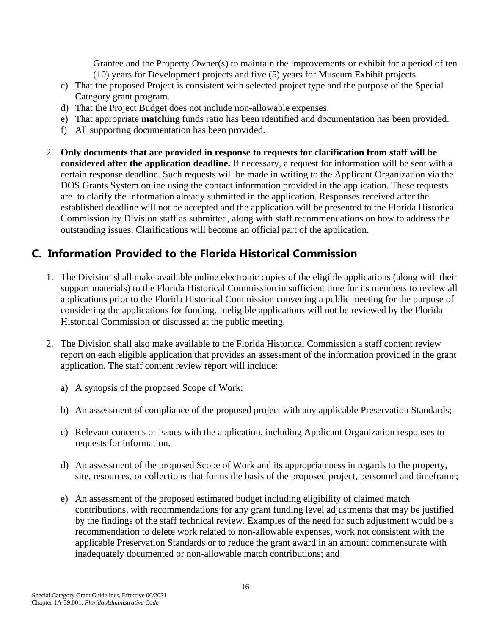Grantee and the Property Owner(s) to maintain the improvements or exhibit for a period of ten (10) years for Development projects and five (5) years for Museum Exhibit projects.

- c) That the proposed Project is consistent with selected project type and the purpose of the Special Category grant program.
- d) That the Project Budget does not include non-allowable expenses.
- e) That appropriate **matching** funds ratio has been identified and documentation has been provided.
- f) All supporting documentation has been provided.
- 2. **Only documents that are provided in response to requests for clarification from staff will be considered after the application deadline.** If necessary, a request for information will be sent with a certain response deadline. Such requests will be made in writing to the Applicant Organization via the DOS Grants System online using the contact information provided in the application. These requests are to clarify the information already submitted in the application. Responses received after the established deadline will not be accepted and the application will be presented to the Florida Historical Commission by Division staff as submitted, along with staff recommendations on how to address the outstanding issues. Clarifications will become an official part of the application.

### <span id="page-19-0"></span>**C. Information Provided to the Florida Historical Commission**

- 1. The Division shall make available online electronic copies of the eligible applications (along with their support materials) to the Florida Historical Commission in sufficient time for its members to review all applications prior to the Florida Historical Commission convening a public meeting for the purpose of considering the applications for funding. Ineligible applications will not be reviewed by the Florida Historical Commission or discussed at the public meeting.
- 2. The Division shall also make available to the Florida Historical Commission a staff content review report on each eligible application that provides an assessment of the information provided in the grant application. The staff content review report will include:
	- a) A synopsis of the proposed Scope of Work;
	- b) An assessment of compliance of the proposed project with any applicable Preservation Standards;
	- c) Relevant concerns or issues with the application, including Applicant Organization responses to requests for information.
	- d) An assessment of the proposed Scope of Work and its appropriateness in regards to the property, site, resources, or collections that forms the basis of the proposed project, personnel and timeframe;
	- e) An assessment of the proposed estimated budget including eligibility of claimed match contributions, with recommendations for any grant funding level adjustments that may be justified by the findings of the staff technical review. Examples of the need for such adjustment would be a recommendation to delete work related to non-allowable expenses, work not consistent with the applicable Preservation Standards or to reduce the grant award in an amount commensurate with inadequately documented or non-allowable match contributions; and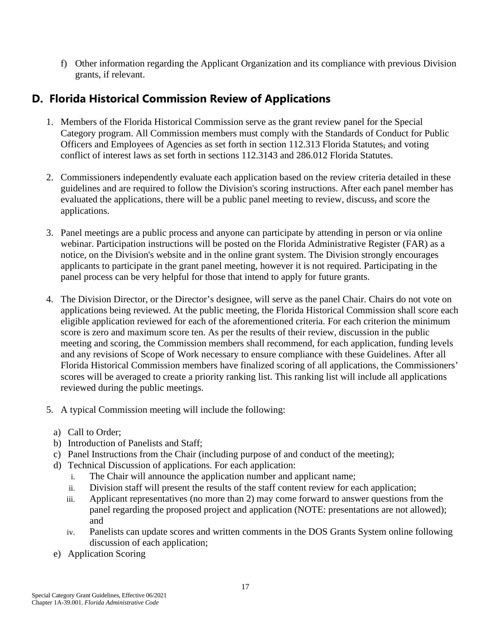f) Other information regarding the Applicant Organization and its compliance with previous Division grants, if relevant.

### <span id="page-20-0"></span>**D. Florida Historical Commission Review of Applications**

- 1. Members of the Florida Historical Commission serve as the grant review panel for the Special Category program. All Commission members must comply with the Standards of Conduct for Public Officers and Employees of Agencies as set forth in section 112.313 Florida Statutes, and voting conflict of interest laws as set forth in sections 112.3143 and 286.012 Florida Statutes.
- 2. Commissioners independently evaluate each application based on the review criteria detailed in these guidelines and are required to follow the Division's scoring instructions. After each panel member has evaluated the applications, there will be a public panel meeting to review, discuss, and score the applications.
- 3. Panel meetings are a public process and anyone can participate by attending in person or via online webinar. Participation instructions will be posted on the Florida Administrative Register (FAR) as a notice, on the Division's website and in the online grant system. The Division strongly encourages applicants to participate in the grant panel meeting, however it is not required. Participating in the panel process can be very helpful for those that intend to apply for future grants.
- 4. The Division Director, or the Director's designee, will serve as the panel Chair. Chairs do not vote on applications being reviewed. At the public meeting, the Florida Historical Commission shall score each eligible application reviewed for each of the aforementioned criteria. For each criterion the minimum score is zero and maximum score ten. As per the results of their review, discussion in the public meeting and scoring, the Commission members shall recommend, for each application, funding levels and any revisions of Scope of Work necessary to ensure compliance with these Guidelines. After all Florida Historical Commission members have finalized scoring of all applications, the Commissioners' scores will be averaged to create a priority ranking list. This ranking list will include all applications reviewed during the public meetings.
- 5. A typical Commission meeting will include the following:
	- a) Call to Order;
	- b) Introduction of Panelists and Staff;
	- c) Panel Instructions from the Chair (including purpose of and conduct of the meeting);
	- d) Technical Discussion of applications. For each application:
		- i. The Chair will announce the application number and applicant name;
		- ii. Division staff will present the results of the staff content review for each application;
		- iii. Applicant representatives (no more than 2) may come forward to answer questions from the panel regarding the proposed project and application (NOTE: presentations are not allowed); and
		- iv. Panelists can update scores and written comments in the DOS Grants System online following discussion of each application;
	- e) Application Scoring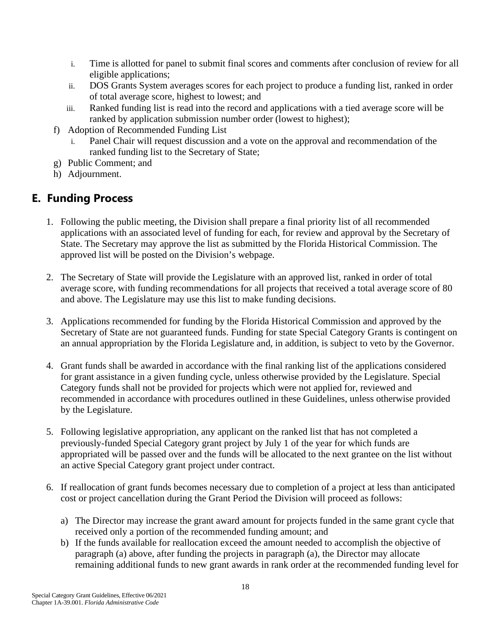- i. Time is allotted for panel to submit final scores and comments after conclusion of review for all eligible applications;
- ii. DOS Grants System averages scores for each project to produce a funding list, ranked in order of total average score, highest to lowest; and
- iii. Ranked funding list is read into the record and applications with a tied average score will be ranked by application submission number order (lowest to highest);
- f) Adoption of Recommended Funding List
	- i. Panel Chair will request discussion and a vote on the approval and recommendation of the ranked funding list to the Secretary of State;
- g) Public Comment; and
- h) Adjournment.

### <span id="page-21-0"></span>**E. Funding Process**

- 1. Following the public meeting, the Division shall prepare a final priority list of all recommended applications with an associated level of funding for each, for review and approval by the Secretary of State. The Secretary may approve the list as submitted by the Florida Historical Commission. The approved list will be posted on the Division's webpage.
- 2. The Secretary of State will provide the Legislature with an approved list, ranked in order of total average score, with funding recommendations for all projects that received a total average score of 80 and above. The Legislature may use this list to make funding decisions.
- 3. Applications recommended for funding by the Florida Historical Commission and approved by the Secretary of State are not guaranteed funds. Funding for state Special Category Grants is contingent on an annual appropriation by the Florida Legislature and, in addition, is subject to veto by the Governor.
- 4. Grant funds shall be awarded in accordance with the final ranking list of the applications considered for grant assistance in a given funding cycle, unless otherwise provided by the Legislature. Special Category funds shall not be provided for projects which were not applied for, reviewed and recommended in accordance with procedures outlined in these Guidelines, unless otherwise provided by the Legislature.
- 5. Following legislative appropriation, any applicant on the ranked list that has not completed a previously-funded Special Category grant project by July 1 of the year for which funds are appropriated will be passed over and the funds will be allocated to the next grantee on the list without an active Special Category grant project under contract.
- 6. If reallocation of grant funds becomes necessary due to completion of a project at less than anticipated cost or project cancellation during the Grant Period the Division will proceed as follows:
	- a) The Director may increase the grant award amount for projects funded in the same grant cycle that received only a portion of the recommended funding amount; and
	- b) If the funds available for reallocation exceed the amount needed to accomplish the objective of paragraph (a) above, after funding the projects in paragraph (a), the Director may allocate remaining additional funds to new grant awards in rank order at the recommended funding level for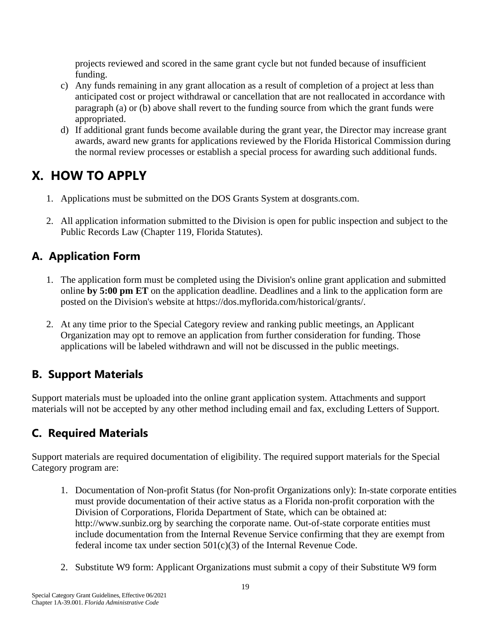projects reviewed and scored in the same grant cycle but not funded because of insufficient funding.

- c) Any funds remaining in any grant allocation as a result of completion of a project at less than anticipated cost or project withdrawal or cancellation that are not reallocated in accordance with paragraph (a) or (b) above shall revert to the funding source from which the grant funds were appropriated.
- d) If additional grant funds become available during the grant year, the Director may increase grant awards, award new grants for applications reviewed by the Florida Historical Commission during the normal review processes or establish a special process for awarding such additional funds.

# <span id="page-22-0"></span>**X. HOW TO APPLY**

- 1. Applications must be submitted on the DOS Grants System at dosgrants.com.
- 2. All application information submitted to the Division is open for public inspection and subject to the Public Records Law (Chapter 119, Florida Statutes).

# <span id="page-22-1"></span>**A. Application Form**

- 1. The application form must be completed using the Division's online grant application and submitted online **by 5:00 pm ET** on the application deadline. Deadlines and a link to the application form are posted on the Division's website at https://dos.myflorida.com/historical/grants/.
- 2. At any time prior to the Special Category review and ranking public meetings, an Applicant Organization may opt to remove an application from further consideration for funding. Those applications will be labeled withdrawn and will not be discussed in the public meetings.

# <span id="page-22-2"></span>**B. Support Materials**

Support materials must be uploaded into the online grant application system. Attachments and support materials will not be accepted by any other method including email and fax, excluding Letters of Support.

# <span id="page-22-3"></span>**C. Required Materials**

Support materials are required documentation of eligibility. The required support materials for the Special Category program are:

- 1. Documentation of Non-profit Status (for Non-profit Organizations only): In-state corporate entities must provide documentation of their active status as a Florida non-profit corporation with the Division of Corporations, Florida Department of State, which can be obtained at: http://www.sunbiz.org by searching the corporate name. Out-of-state corporate entities must include documentation from the Internal Revenue Service confirming that they are exempt from federal income tax under section 501(c)(3) of the Internal Revenue Code.
- 2. Substitute W9 form: Applicant Organizations must submit a copy of their Substitute W9 form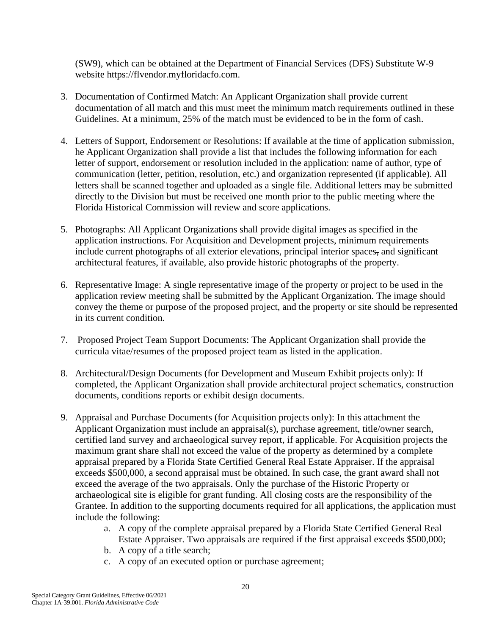(SW9), which can be obtained at the Department of Financial Services (DFS) Substitute W-9 website https://flvendor.myfloridacfo.com.

- 3. Documentation of Confirmed Match: An Applicant Organization shall provide current documentation of all match and this must meet the minimum match requirements outlined in these Guidelines. At a minimum, 25% of the match must be evidenced to be in the form of cash.
- 4. Letters of Support, Endorsement or Resolutions: If available at the time of application submission, he Applicant Organization shall provide a list that includes the following information for each letter of support, endorsement or resolution included in the application: name of author, type of communication (letter, petition, resolution, etc.) and organization represented (if applicable). All letters shall be scanned together and uploaded as a single file. Additional letters may be submitted directly to the Division but must be received one month prior to the public meeting where the Florida Historical Commission will review and score applications.
- 5. Photographs: All Applicant Organizations shall provide digital images as specified in the application instructions. For Acquisition and Development projects, minimum requirements include current photographs of all exterior elevations, principal interior spaces, and significant architectural features, if available, also provide historic photographs of the property.
- 6. Representative Image: A single representative image of the property or project to be used in the application review meeting shall be submitted by the Applicant Organization. The image should convey the theme or purpose of the proposed project, and the property or site should be represented in its current condition.
- 7. Proposed Project Team Support Documents: The Applicant Organization shall provide the curricula vitae/resumes of the proposed project team as listed in the application.
- 8. Architectural/Design Documents (for Development and Museum Exhibit projects only): If completed, the Applicant Organization shall provide architectural project schematics, construction documents, conditions reports or exhibit design documents.
- 9. Appraisal and Purchase Documents (for Acquisition projects only): In this attachment the Applicant Organization must include an appraisal(s), purchase agreement, title/owner search, certified land survey and archaeological survey report, if applicable. For Acquisition projects the maximum grant share shall not exceed the value of the property as determined by a complete appraisal prepared by a Florida State Certified General Real Estate Appraiser. If the appraisal exceeds \$500,000, a second appraisal must be obtained. In such case, the grant award shall not exceed the average of the two appraisals. Only the purchase of the Historic Property or archaeological site is eligible for grant funding. All closing costs are the responsibility of the Grantee. In addition to the supporting documents required for all applications, the application must include the following:
	- a. A copy of the complete appraisal prepared by a Florida State Certified General Real Estate Appraiser. Two appraisals are required if the first appraisal exceeds \$500,000;
	- b. A copy of a title search;
	- c. A copy of an executed option or purchase agreement;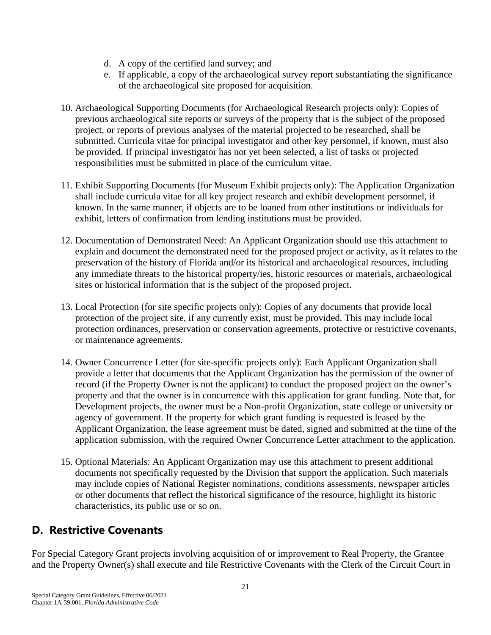- d. A copy of the certified land survey; and
- e. If applicable, a copy of the archaeological survey report substantiating the significance of the archaeological site proposed for acquisition.
- 10. Archaeological Supporting Documents (for Archaeological Research projects only): Copies of previous archaeological site reports or surveys of the property that is the subject of the proposed project, or reports of previous analyses of the material projected to be researched, shall be submitted. Curricula vitae for principal investigator and other key personnel, if known, must also be provided. If principal investigator has not yet been selected, a list of tasks or projected responsibilities must be submitted in place of the curriculum vitae.
- 11. Exhibit Supporting Documents (for Museum Exhibit projects only): The Application Organization shall include curricula vitae for all key project research and exhibit development personnel, if known. In the same manner, if objects are to be loaned from other institutions or individuals for exhibit, letters of confirmation from lending institutions must be provided.
- 12. Documentation of Demonstrated Need: An Applicant Organization should use this attachment to explain and document the demonstrated need for the proposed project or activity, as it relates to the preservation of the history of Florida and/or its historical and archaeological resources, including any immediate threats to the historical property/ies, historic resources or materials, archaeological sites or historical information that is the subject of the proposed project.
- 13. Local Protection (for site specific projects only): Copies of any documents that provide local protection of the project site, if any currently exist, must be provided. This may include local protection ordinances, preservation or conservation agreements, protective or restrictive covenants, or maintenance agreements.
- 14. Owner Concurrence Letter (for site-specific projects only): Each Applicant Organization shall provide a letter that documents that the Applicant Organization has the permission of the owner of record (if the Property Owner is not the applicant) to conduct the proposed project on the owner's property and that the owner is in concurrence with this application for grant funding. Note that, for Development projects, the owner must be a Non-profit Organization, state college or university or agency of government. If the property for which grant funding is requested is leased by the Applicant Organization, the lease agreement must be dated, signed and submitted at the time of the application submission, with the required Owner Concurrence Letter attachment to the application.
- 15. Optional Materials: An Applicant Organization may use this attachment to present additional documents not specifically requested by the Division that support the application. Such materials may include copies of National Register nominations, conditions assessments, newspaper articles or other documents that reflect the historical significance of the resource, highlight its historic characteristics, its public use or so on.

### <span id="page-24-0"></span>**D. Restrictive Covenants**

For Special Category Grant projects involving acquisition of or improvement to Real Property, the Grantee and the Property Owner(s) shall execute and file Restrictive Covenants with the Clerk of the Circuit Court in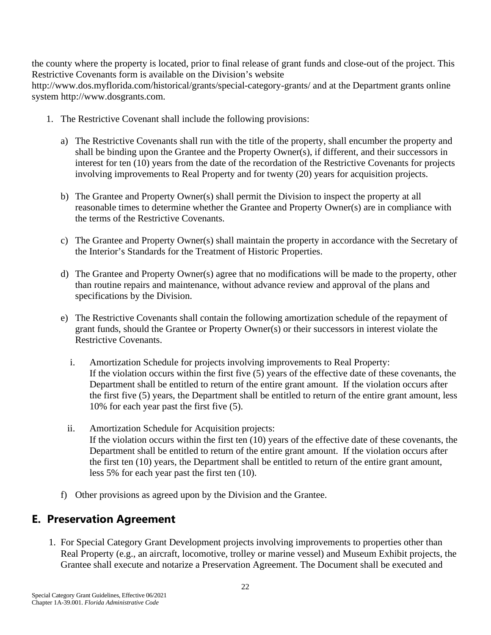the county where the property is located, prior to final release of grant funds and close-out of the project. This Restrictive Covenants form is available on the Division's website

http://www.dos.myflorida.com/historical/grants/special-category-grants/ and at the Department grants online system http://www.dosgrants.com.

- 1. The Restrictive Covenant shall include the following provisions:
	- a) The Restrictive Covenants shall run with the title of the property, shall encumber the property and shall be binding upon the Grantee and the Property Owner(s), if different, and their successors in interest for ten (10) years from the date of the recordation of the Restrictive Covenants for projects involving improvements to Real Property and for twenty (20) years for acquisition projects.
	- b) The Grantee and Property Owner(s) shall permit the Division to inspect the property at all reasonable times to determine whether the Grantee and Property Owner(s) are in compliance with the terms of the Restrictive Covenants.
	- c) The Grantee and Property Owner(s) shall maintain the property in accordance with the Secretary of the Interior's Standards for the Treatment of Historic Properties.
	- d) The Grantee and Property Owner(s) agree that no modifications will be made to the property, other than routine repairs and maintenance, without advance review and approval of the plans and specifications by the Division.
	- e) The Restrictive Covenants shall contain the following amortization schedule of the repayment of grant funds, should the Grantee or Property Owner(s) or their successors in interest violate the Restrictive Covenants.
		- i. Amortization Schedule for projects involving improvements to Real Property: If the violation occurs within the first five (5) years of the effective date of these covenants, the Department shall be entitled to return of the entire grant amount. If the violation occurs after the first five (5) years, the Department shall be entitled to return of the entire grant amount, less 10% for each year past the first five (5).
		- ii. Amortization Schedule for Acquisition projects: If the violation occurs within the first ten (10) years of the effective date of these covenants, the Department shall be entitled to return of the entire grant amount. If the violation occurs after the first ten (10) years, the Department shall be entitled to return of the entire grant amount, less 5% for each year past the first ten (10).
	- f) Other provisions as agreed upon by the Division and the Grantee.

### <span id="page-25-0"></span>**E. Preservation Agreement**

1. For Special Category Grant Development projects involving improvements to properties other than Real Property (e.g., an aircraft, locomotive, trolley or marine vessel) and Museum Exhibit projects, the Grantee shall execute and notarize a Preservation Agreement. The Document shall be executed and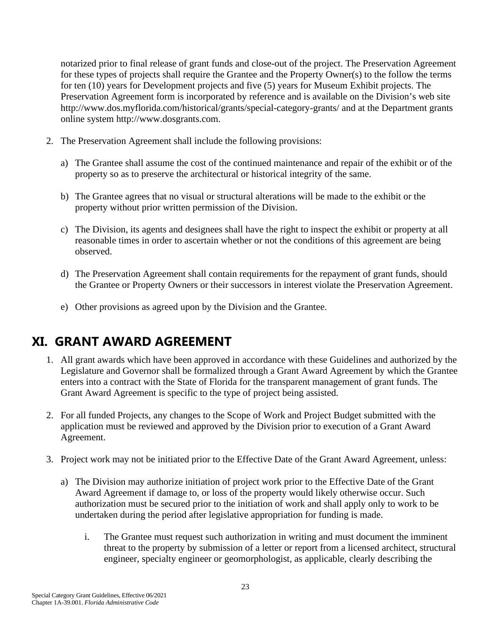notarized prior to final release of grant funds and close-out of the project. The Preservation Agreement for these types of projects shall require the Grantee and the Property Owner(s) to the follow the terms for ten (10) years for Development projects and five (5) years for Museum Exhibit projects. The Preservation Agreement form is incorporated by reference and is available on the Division's web site http://www.dos.myflorida.com/historical/grants/special-category-grants/ and at the Department grants online system http://www.dosgrants.com.

- 2. The Preservation Agreement shall include the following provisions:
	- a) The Grantee shall assume the cost of the continued maintenance and repair of the exhibit or of the property so as to preserve the architectural or historical integrity of the same.
	- b) The Grantee agrees that no visual or structural alterations will be made to the exhibit or the property without prior written permission of the Division.
	- c) The Division, its agents and designees shall have the right to inspect the exhibit or property at all reasonable times in order to ascertain whether or not the conditions of this agreement are being observed.
	- d) The Preservation Agreement shall contain requirements for the repayment of grant funds, should the Grantee or Property Owners or their successors in interest violate the Preservation Agreement.
	- e) Other provisions as agreed upon by the Division and the Grantee.

# <span id="page-26-0"></span>**XI. GRANT AWARD AGREEMENT**

- 1. All grant awards which have been approved in accordance with these Guidelines and authorized by the Legislature and Governor shall be formalized through a Grant Award Agreement by which the Grantee enters into a contract with the State of Florida for the transparent management of grant funds. The Grant Award Agreement is specific to the type of project being assisted.
- 2. For all funded Projects, any changes to the Scope of Work and Project Budget submitted with the application must be reviewed and approved by the Division prior to execution of a Grant Award Agreement.
- 3. Project work may not be initiated prior to the Effective Date of the Grant Award Agreement, unless:
	- a) The Division may authorize initiation of project work prior to the Effective Date of the Grant Award Agreement if damage to, or loss of the property would likely otherwise occur. Such authorization must be secured prior to the initiation of work and shall apply only to work to be undertaken during the period after legislative appropriation for funding is made.
		- i. The Grantee must request such authorization in writing and must document the imminent threat to the property by submission of a letter or report from a licensed architect, structural engineer, specialty engineer or geomorphologist, as applicable, clearly describing the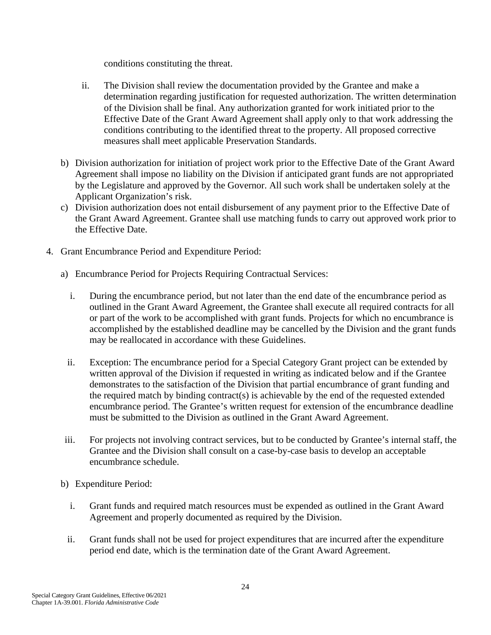conditions constituting the threat.

- ii. The Division shall review the documentation provided by the Grantee and make a determination regarding justification for requested authorization. The written determination of the Division shall be final. Any authorization granted for work initiated prior to the Effective Date of the Grant Award Agreement shall apply only to that work addressing the conditions contributing to the identified threat to the property. All proposed corrective measures shall meet applicable Preservation Standards.
- b) Division authorization for initiation of project work prior to the Effective Date of the Grant Award Agreement shall impose no liability on the Division if anticipated grant funds are not appropriated by the Legislature and approved by the Governor. All such work shall be undertaken solely at the Applicant Organization's risk.
- c) Division authorization does not entail disbursement of any payment prior to the Effective Date of the Grant Award Agreement. Grantee shall use matching funds to carry out approved work prior to the Effective Date.
- 4. Grant Encumbrance Period and Expenditure Period:
	- a) Encumbrance Period for Projects Requiring Contractual Services:
		- i. During the encumbrance period, but not later than the end date of the encumbrance period as outlined in the Grant Award Agreement, the Grantee shall execute all required contracts for all or part of the work to be accomplished with grant funds. Projects for which no encumbrance is accomplished by the established deadline may be cancelled by the Division and the grant funds may be reallocated in accordance with these Guidelines.
		- ii. Exception: The encumbrance period for a Special Category Grant project can be extended by written approval of the Division if requested in writing as indicated below and if the Grantee demonstrates to the satisfaction of the Division that partial encumbrance of grant funding and the required match by binding contract(s) is achievable by the end of the requested extended encumbrance period. The Grantee's written request for extension of the encumbrance deadline must be submitted to the Division as outlined in the Grant Award Agreement.
	- iii. For projects not involving contract services, but to be conducted by Grantee's internal staff, the Grantee and the Division shall consult on a case-by-case basis to develop an acceptable encumbrance schedule.
	- b) Expenditure Period:
		- i. Grant funds and required match resources must be expended as outlined in the Grant Award Agreement and properly documented as required by the Division.
		- ii. Grant funds shall not be used for project expenditures that are incurred after the expenditure period end date, which is the termination date of the Grant Award Agreement.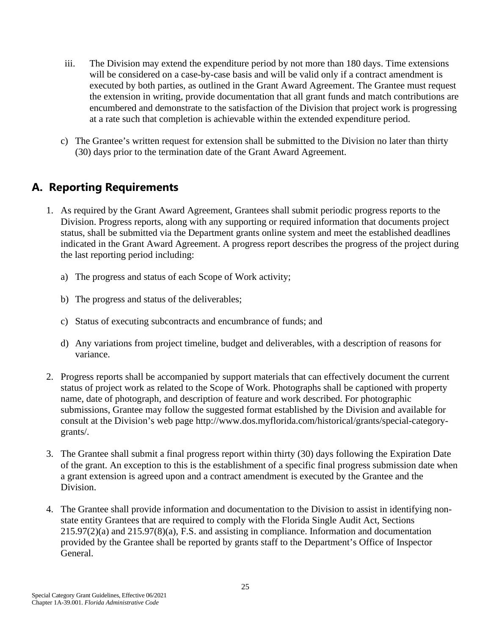- iii. The Division may extend the expenditure period by not more than 180 days. Time extensions will be considered on a case-by-case basis and will be valid only if a contract amendment is executed by both parties, as outlined in the Grant Award Agreement. The Grantee must request the extension in writing, provide documentation that all grant funds and match contributions are encumbered and demonstrate to the satisfaction of the Division that project work is progressing at a rate such that completion is achievable within the extended expenditure period.
- c) The Grantee's written request for extension shall be submitted to the Division no later than thirty (30) days prior to the termination date of the Grant Award Agreement.

### <span id="page-28-0"></span>**A. Reporting Requirements**

- 1. As required by the Grant Award Agreement, Grantees shall submit periodic progress reports to the Division. Progress reports, along with any supporting or required information that documents project status, shall be submitted via the Department grants online system and meet the established deadlines indicated in the Grant Award Agreement. A progress report describes the progress of the project during the last reporting period including:
	- a) The progress and status of each Scope of Work activity;
	- b) The progress and status of the deliverables;
	- c) Status of executing subcontracts and encumbrance of funds; and
	- d) Any variations from project timeline, budget and deliverables, with a description of reasons for variance.
- 2. Progress reports shall be accompanied by support materials that can effectively document the current status of project work as related to the Scope of Work. Photographs shall be captioned with property name, date of photograph, and description of feature and work described. For photographic submissions, Grantee may follow the suggested format established by the Division and available for consult at the Division's web page http://www.dos.myflorida.com/historical/grants/special-categorygrants/.
- 3. The Grantee shall submit a final progress report within thirty (30) days following the Expiration Date of the grant. An exception to this is the establishment of a specific final progress submission date when a grant extension is agreed upon and a contract amendment is executed by the Grantee and the Division.
- 4. The Grantee shall provide information and documentation to the Division to assist in identifying nonstate entity Grantees that are required to comply with the Florida Single Audit Act, Sections  $215.97(2)(a)$  and  $215.97(8)(a)$ , F.S. and assisting in compliance. Information and documentation provided by the Grantee shall be reported by grants staff to the Department's Office of Inspector General.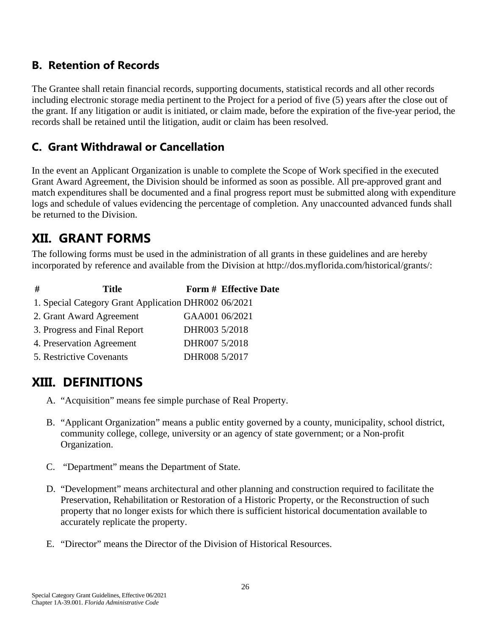### <span id="page-29-0"></span>**B. Retention of Records**

The Grantee shall retain financial records, supporting documents, statistical records and all other records including electronic storage media pertinent to the Project for a period of five (5) years after the close out of the grant. If any litigation or audit is initiated, or claim made, before the expiration of the five-year period, the records shall be retained until the litigation, audit or claim has been resolved.

### <span id="page-29-1"></span>**C. Grant Withdrawal or Cancellation**

In the event an Applicant Organization is unable to complete the Scope of Work specified in the executed Grant Award Agreement, the Division should be informed as soon as possible. All pre-approved grant and match expenditures shall be documented and a final progress report must be submitted along with expenditure logs and schedule of values evidencing the percentage of completion. Any unaccounted advanced funds shall be returned to the Division.

# <span id="page-29-2"></span>**XII. GRANT FORMS**

The following forms must be used in the administration of all grants in these guidelines and are hereby incorporated by reference and available from the Division at http://dos.myflorida.com/historical/grants/:

| # | <b>Title</b>                                         |                | <b>Form # Effective Date</b> |
|---|------------------------------------------------------|----------------|------------------------------|
|   | 1. Special Category Grant Application DHR002 06/2021 |                |                              |
|   | 2. Grant Award Agreement                             | GAA001 06/2021 |                              |
|   | 3. Progress and Final Report                         | DHR003 5/2018  |                              |
|   | 4. Preservation Agreement                            | DHR007 5/2018  |                              |
|   | 5. Restrictive Covenants                             | DHR008 5/2017  |                              |

# <span id="page-29-3"></span>**XIII. DEFINITIONS**

- A. "Acquisition" means fee simple purchase of Real Property.
- B. "Applicant Organization" means a public entity governed by a county, municipality, school district, community college, college, university or an agency of state government; or a Non-profit Organization.
- C. "Department" means the Department of State.
- D. "Development" means architectural and other planning and construction required to facilitate the Preservation, Rehabilitation or Restoration of a Historic Property, or the Reconstruction of such property that no longer exists for which there is sufficient historical documentation available to accurately replicate the property.
- E. "Director" means the Director of the Division of Historical Resources.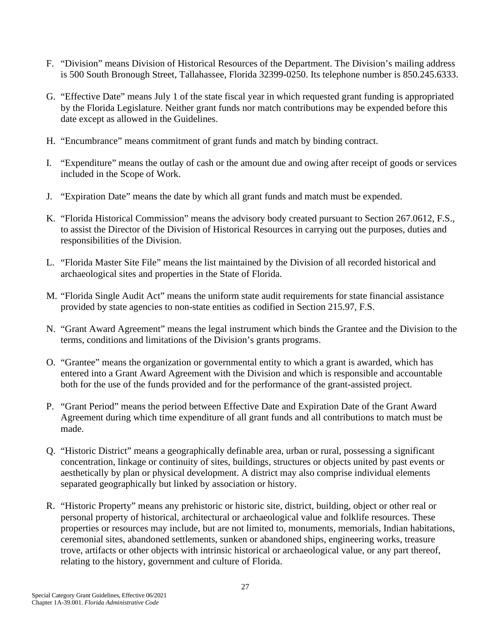- F. "Division" means Division of Historical Resources of the Department. The Division's mailing address is 500 South Bronough Street, Tallahassee, Florida 32399-0250. Its telephone number is 850.245.6333.
- G. "Effective Date" means July 1 of the state fiscal year in which requested grant funding is appropriated by the Florida Legislature. Neither grant funds nor match contributions may be expended before this date except as allowed in the Guidelines.
- H. "Encumbrance" means commitment of grant funds and match by binding contract.
- I. "Expenditure" means the outlay of cash or the amount due and owing after receipt of goods or services included in the Scope of Work.
- J. "Expiration Date" means the date by which all grant funds and match must be expended.
- K. "Florida Historical Commission" means the advisory body created pursuant to Section 267.0612, F.S., to assist the Director of the Division of Historical Resources in carrying out the purposes, duties and responsibilities of the Division.
- L. "Florida Master Site File" means the list maintained by the Division of all recorded historical and archaeological sites and properties in the State of Florida.
- M. "Florida Single Audit Act" means the uniform state audit requirements for state financial assistance provided by state agencies to non-state entities as codified in Section 215.97, F.S.
- N. "Grant Award Agreement" means the legal instrument which binds the Grantee and the Division to the terms, conditions and limitations of the Division's grants programs.
- O. "Grantee" means the organization or governmental entity to which a grant is awarded, which has entered into a Grant Award Agreement with the Division and which is responsible and accountable both for the use of the funds provided and for the performance of the grant-assisted project.
- P. "Grant Period" means the period between Effective Date and Expiration Date of the Grant Award Agreement during which time expenditure of all grant funds and all contributions to match must be made.
- Q. "Historic District" means a geographically definable area, urban or rural, possessing a significant concentration, linkage or continuity of sites, buildings, structures or objects united by past events or aesthetically by plan or physical development. A district may also comprise individual elements separated geographically but linked by association or history.
- R. "Historic Property" means any prehistoric or historic site, district, building, object or other real or personal property of historical, architectural or archaeological value and folklife resources. These properties or resources may include, but are not limited to, monuments, memorials, Indian habitations, ceremonial sites, abandoned settlements, sunken or abandoned ships, engineering works, treasure trove, artifacts or other objects with intrinsic historical or archaeological value, or any part thereof, relating to the history, government and culture of Florida.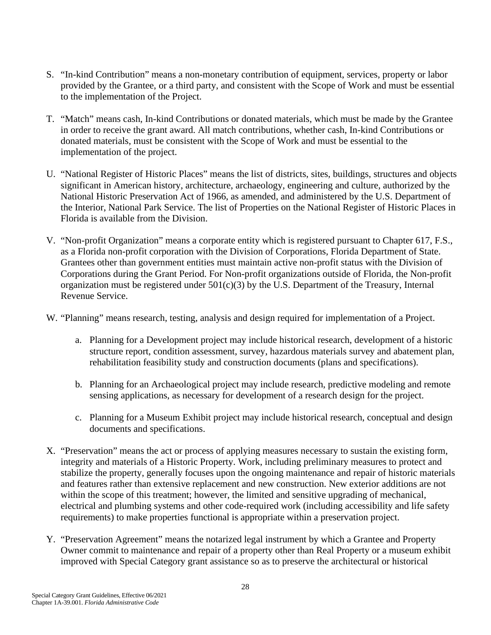- S. "In-kind Contribution" means a non-monetary contribution of equipment, services, property or labor provided by the Grantee, or a third party, and consistent with the Scope of Work and must be essential to the implementation of the Project.
- T. "Match" means cash, In-kind Contributions or donated materials, which must be made by the Grantee in order to receive the grant award. All match contributions, whether cash, In-kind Contributions or donated materials, must be consistent with the Scope of Work and must be essential to the implementation of the project.
- U. "National Register of Historic Places" means the list of districts, sites, buildings, structures and objects significant in American history, architecture, archaeology, engineering and culture, authorized by the National Historic Preservation Act of 1966, as amended, and administered by the U.S. Department of the Interior, National Park Service. The list of Properties on the National Register of Historic Places in Florida is available from the Division.
- V. "Non-profit Organization" means a corporate entity which is registered pursuant to Chapter 617, F.S., as a Florida non-profit corporation with the Division of Corporations, Florida Department of State. Grantees other than government entities must maintain active non-profit status with the Division of Corporations during the Grant Period. For Non-profit organizations outside of Florida, the Non-profit organization must be registered under  $501(c)(3)$  by the U.S. Department of the Treasury, Internal Revenue Service.
- W. "Planning" means research, testing, analysis and design required for implementation of a Project.
	- a. Planning for a Development project may include historical research, development of a historic structure report, condition assessment, survey, hazardous materials survey and abatement plan, rehabilitation feasibility study and construction documents (plans and specifications).
	- b. Planning for an Archaeological project may include research, predictive modeling and remote sensing applications, as necessary for development of a research design for the project.
	- c. Planning for a Museum Exhibit project may include historical research, conceptual and design documents and specifications.
- X. "Preservation" means the act or process of applying measures necessary to sustain the existing form, integrity and materials of a Historic Property. Work, including preliminary measures to protect and stabilize the property, generally focuses upon the ongoing maintenance and repair of historic materials and features rather than extensive replacement and new construction. New exterior additions are not within the scope of this treatment; however, the limited and sensitive upgrading of mechanical, electrical and plumbing systems and other code-required work (including accessibility and life safety requirements) to make properties functional is appropriate within a preservation project.
- Y. "Preservation Agreement" means the notarized legal instrument by which a Grantee and Property Owner commit to maintenance and repair of a property other than Real Property or a museum exhibit improved with Special Category grant assistance so as to preserve the architectural or historical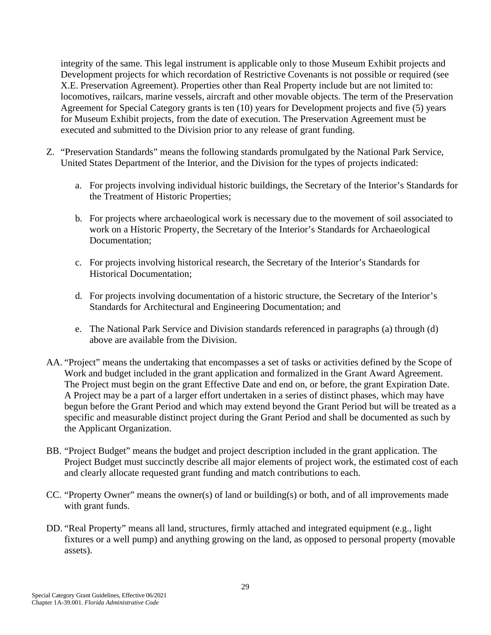integrity of the same. This legal instrument is applicable only to those Museum Exhibit projects and Development projects for which recordation of Restrictive Covenants is not possible or required (see X.E. Preservation Agreement). Properties other than Real Property include but are not limited to: locomotives, railcars, marine vessels, aircraft and other movable objects. The term of the Preservation Agreement for Special Category grants is ten (10) years for Development projects and five (5) years for Museum Exhibit projects, from the date of execution. The Preservation Agreement must be executed and submitted to the Division prior to any release of grant funding.

- Z. "Preservation Standards" means the following standards promulgated by the National Park Service, United States Department of the Interior, and the Division for the types of projects indicated:
	- a. For projects involving individual historic buildings, the Secretary of the Interior's Standards for the Treatment of Historic Properties;
	- b. For projects where archaeological work is necessary due to the movement of soil associated to work on a Historic Property, the Secretary of the Interior's Standards for Archaeological Documentation;
	- c. For projects involving historical research, the Secretary of the Interior's Standards for Historical Documentation;
	- d. For projects involving documentation of a historic structure, the Secretary of the Interior's Standards for Architectural and Engineering Documentation; and
	- e. The National Park Service and Division standards referenced in paragraphs (a) through (d) above are available from the Division.
- AA. "Project" means the undertaking that encompasses a set of tasks or activities defined by the Scope of Work and budget included in the grant application and formalized in the Grant Award Agreement. The Project must begin on the grant Effective Date and end on, or before, the grant Expiration Date. A Project may be a part of a larger effort undertaken in a series of distinct phases, which may have begun before the Grant Period and which may extend beyond the Grant Period but will be treated as a specific and measurable distinct project during the Grant Period and shall be documented as such by the Applicant Organization.
- BB. "Project Budget" means the budget and project description included in the grant application. The Project Budget must succinctly describe all major elements of project work, the estimated cost of each and clearly allocate requested grant funding and match contributions to each.
- CC. "Property Owner" means the owner(s) of land or building(s) or both, and of all improvements made with grant funds.
- DD. "Real Property" means all land, structures, firmly attached and integrated equipment (e.g., light fixtures or a well pump) and anything growing on the land, as opposed to personal property (movable assets).